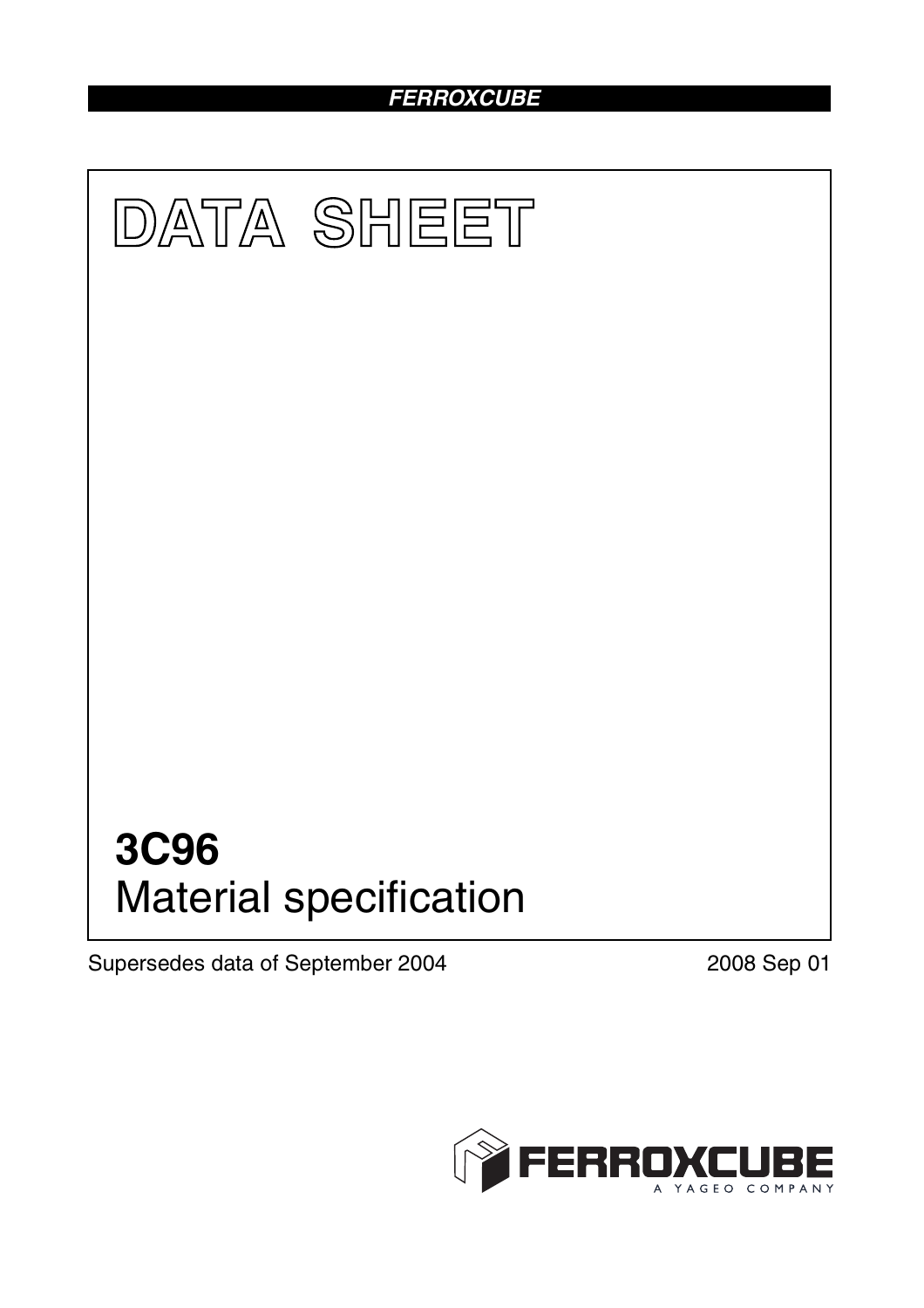# *FERROXCUBE*



Supersedes data of September 2004 2008 Sep 01

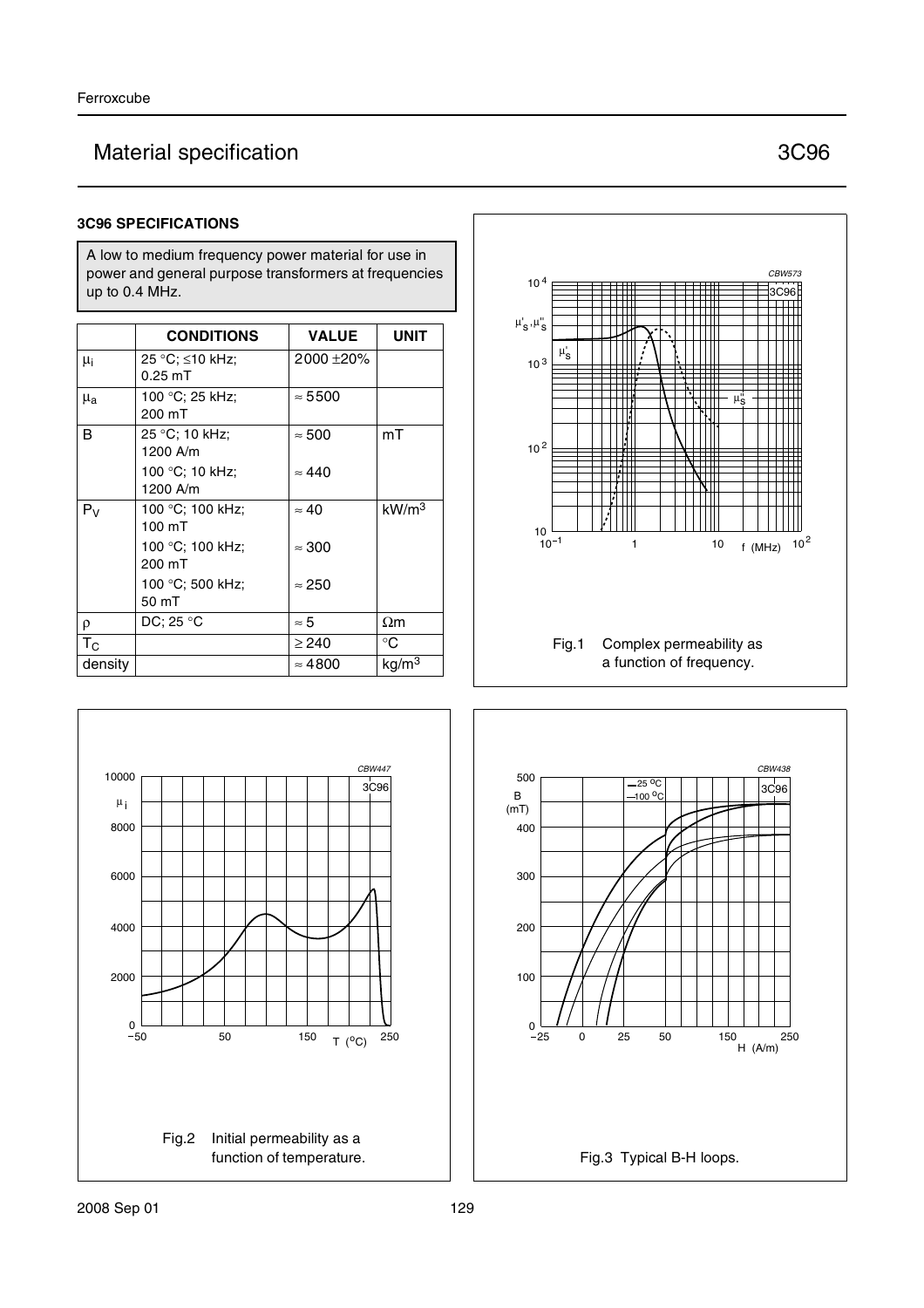# Material specification **3C96**

## **3C96 SPECIFICATIONS**

A low to medium frequency power material for use in power and general purpose transformers at frequencies up to 0.4 MHz.

|                           | <b>CONDITIONS</b>            | <b>VALUE</b>   | <b>UNIT</b>       |
|---------------------------|------------------------------|----------------|-------------------|
| $\mu_i$                   | 25 °C; ≤10 kHz;<br>$0.25$ mT | 2000 ± 20%     |                   |
| $\mu_{a}$                 | 100 °C; 25 kHz;<br>200 mT    | $\approx 5500$ |                   |
| B                         | 25 °C; 10 kHz;<br>1200 A/m   | $\approx 500$  | mT                |
|                           | 100 °C; 10 kHz;<br>1200 A/m  | $\approx 440$  |                   |
| $P_{V}$                   | 100 °C; 100 kHz;<br>100 mT   | $\approx 40$   | kW/m <sup>3</sup> |
|                           | 100 °C; 100 kHz;<br>200 mT   | $\approx 300$  |                   |
|                           | 100 °C; 500 kHz;<br>50 mT    | $\approx 250$  |                   |
| $\rho$                    | DC: 25 °C                    | ≈ 5            | $\Omega$ m        |
| $\mathsf{T}_{\mathsf{C}}$ |                              | $\geq$ 240     | °C                |
| density                   |                              | $\approx 4800$ | kg/m <sup>3</sup> |





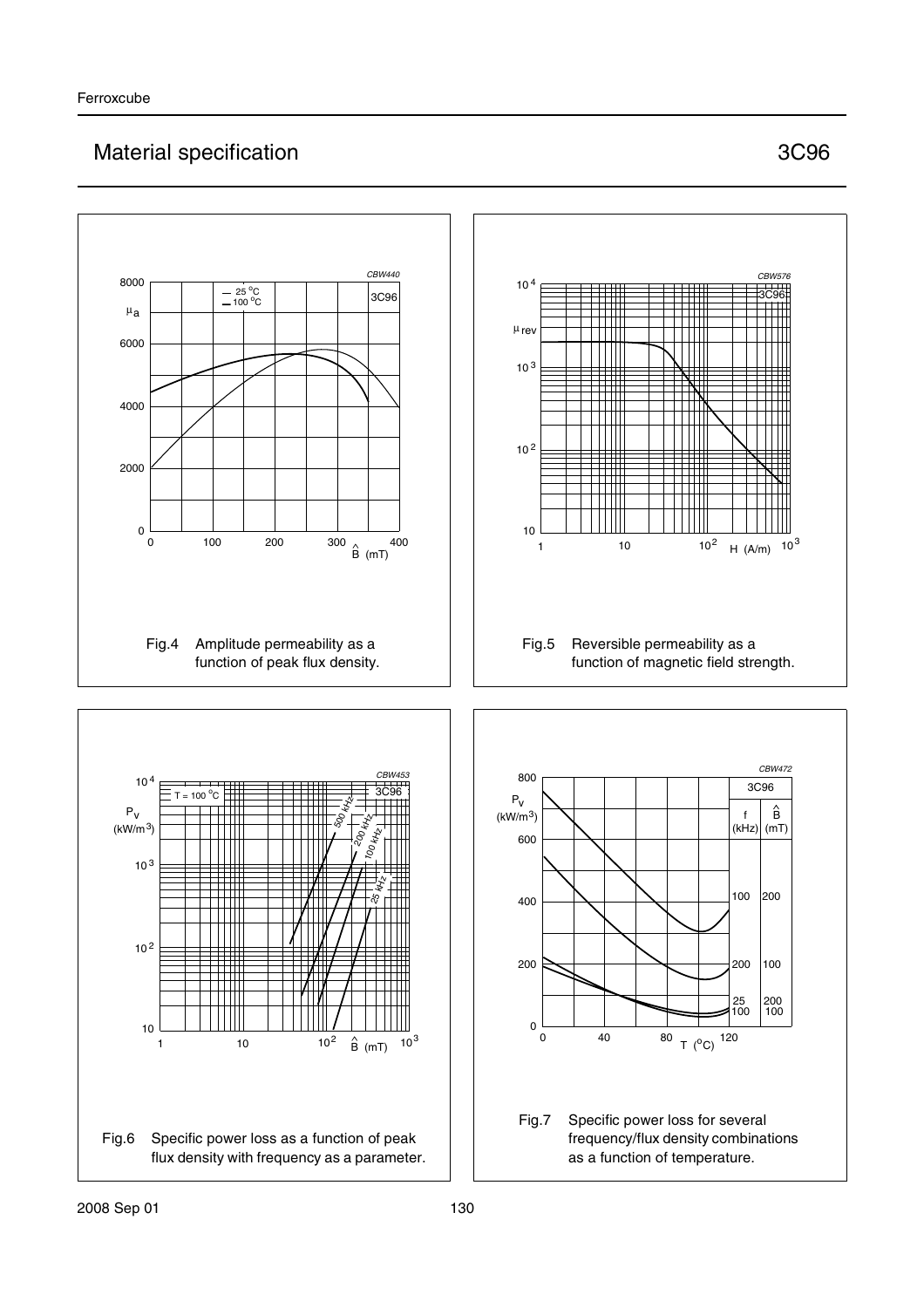# Material specification **3C96**